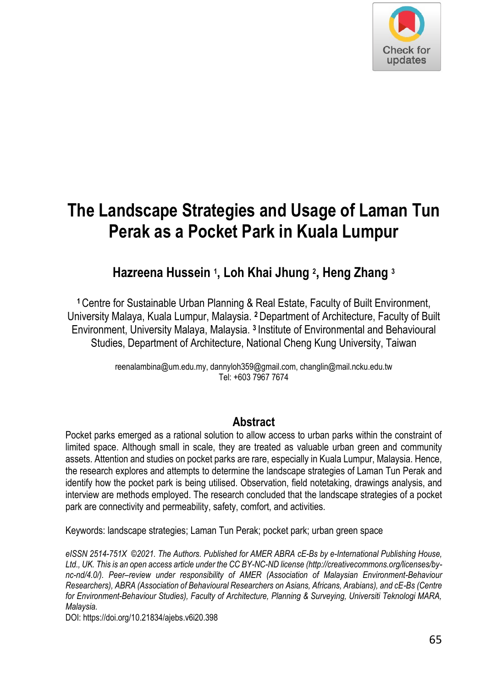

# **The Landscape Strategies and Usage of Laman Tun Perak as a Pocket Park in Kuala Lumpur**

**Hazreena Hussein <sup>1</sup> , Loh Khai Jhung <sup>2</sup> , Heng Zhang <sup>3</sup>**

**<sup>1</sup>**Centre for Sustainable Urban Planning & Real Estate, Faculty of Built Environment, University Malaya, Kuala Lumpur, Malaysia. **<sup>2</sup>**Department of Architecture, Faculty of Built Environment, University Malaya, Malaysia. **3** Institute of Environmental and Behavioural Studies, Department of Architecture, National Cheng Kung University, Taiwan

> reenalambina@um.edu.my, dannyloh359@gmail.com, changlin@mail.ncku.edu.tw Tel: +603 7967 7674

#### **Abstract**

Pocket parks emerged as a rational solution to allow access to urban parks within the constraint of limited space. Although small in scale, they are treated as valuable urban green and community assets. Attention and studies on pocket parks are rare, especially in Kuala Lumpur, Malaysia. Hence, the research explores and attempts to determine the landscape strategies of Laman Tun Perak and identify how the pocket park is being utilised. Observation, field notetaking, drawings analysis, and interview are methods employed. The research concluded that the landscape strategies of a pocket park are connectivity and permeability, safety, comfort, and activities.

Keywords: landscape strategies; Laman Tun Perak; pocket park; urban green space

*eISSN 2514-751X ©2021. The Authors. Published for AMER ABRA cE-Bs by e-International Publishing House, Ltd., UK. This is an open access article under the CC BY-NC-ND license (http://creativecommons.org/licenses/bync-nd/4.0/). Peer–review under responsibility of AMER (Association of Malaysian Environment-Behaviour Researchers), ABRA (Association of Behavioural Researchers on Asians, Africans, Arabians), and cE-Bs (Centre for Environment-Behaviour Studies), Faculty of Architecture, Planning & Surveying, Universiti Teknologi MARA, Malaysia.* 

DOI: https://doi.org/10.21834/ajebs.v6i20.398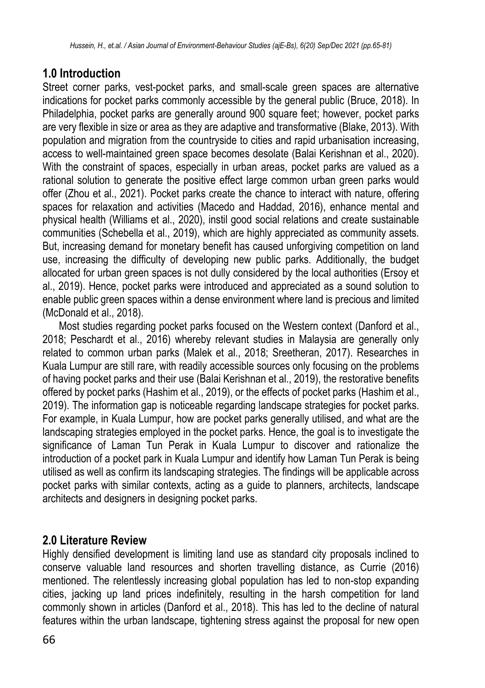# **1.0 Introduction**

Street corner parks, vest-pocket parks, and small-scale green spaces are alternative indications for pocket parks commonly accessible by the general public (Bruce, 2018). In Philadelphia, pocket parks are generally around 900 square feet; however, pocket parks are very flexible in size or area as they are adaptive and transformative (Blake, 2013). With population and migration from the countryside to cities and rapid urbanisation increasing, access to well-maintained green space becomes desolate (Balai Kerishnan et al., 2020). With the constraint of spaces, especially in urban areas, pocket parks are valued as a rational solution to generate the positive effect large common urban green parks would offer (Zhou et al., 2021). Pocket parks create the chance to interact with nature, offering spaces for relaxation and activities (Macedo and Haddad, 2016), enhance mental and physical health (Williams et al., 2020), instil good social relations and create sustainable communities (Schebella et al., 2019), which are highly appreciated as community assets. But, increasing demand for monetary benefit has caused unforgiving competition on land use, increasing the difficulty of developing new public parks. Additionally, the budget allocated for urban green spaces is not dully considered by the local authorities (Ersoy et al., 2019). Hence, pocket parks were introduced and appreciated as a sound solution to enable public green spaces within a dense environment where land is precious and limited (McDonald et al., 2018).

Most studies regarding pocket parks focused on the Western context (Danford et al., 2018; Peschardt et al., 2016) whereby relevant studies in Malaysia are generally only related to common urban parks (Malek et al., 2018; Sreetheran, 2017). Researches in Kuala Lumpur are still rare, with readily accessible sources only focusing on the problems of having pocket parks and their use (Balai Kerishnan et al., 2019), the restorative benefits offered by pocket parks (Hashim et al., 2019), or the effects of pocket parks (Hashim et al., 2019). The information gap is noticeable regarding landscape strategies for pocket parks. For example, in Kuala Lumpur, how are pocket parks generally utilised, and what are the landscaping strategies employed in the pocket parks. Hence, the goal is to investigate the significance of Laman Tun Perak in Kuala Lumpur to discover and rationalize the introduction of a pocket park in Kuala Lumpur and identify how Laman Tun Perak is being utilised as well as confirm its landscaping strategies. The findings will be applicable across pocket parks with similar contexts, acting as a guide to planners, architects, landscape architects and designers in designing pocket parks.

# **2.0 Literature Review**

Highly densified development is limiting land use as standard city proposals inclined to conserve valuable land resources and shorten travelling distance, as Currie (2016) mentioned. The relentlessly increasing global population has led to non-stop expanding cities, jacking up land prices indefinitely, resulting in the harsh competition for land commonly shown in articles (Danford et al., 2018). This has led to the decline of natural features within the urban landscape, tightening stress against the proposal for new open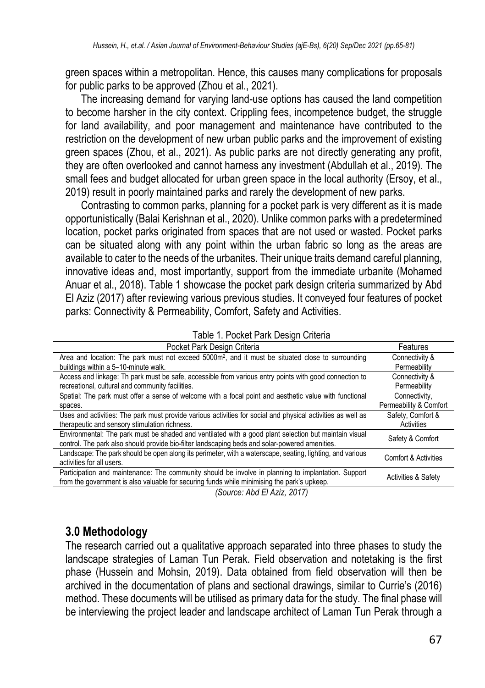green spaces within a metropolitan. Hence, this causes many complications for proposals for public parks to be approved (Zhou et al., 2021).

The increasing demand for varying land-use options has caused the land competition to become harsher in the city context. Crippling fees, incompetence budget, the struggle for land availability, and poor management and maintenance have contributed to the restriction on the development of new urban public parks and the improvement of existing green spaces (Zhou, et al., 2021). As public parks are not directly generating any profit, they are often overlooked and cannot harness any investment (Abdullah et al., 2019). The small fees and budget allocated for urban green space in the local authority (Ersoy, et al., 2019) result in poorly maintained parks and rarely the development of new parks.

Contrasting to common parks, planning for a pocket park is very different as it is made opportunistically (Balai Kerishnan et al., 2020). Unlike common parks with a predetermined location, pocket parks originated from spaces that are not used or wasted. Pocket parks can be situated along with any point within the urban fabric so long as the areas are available to cater to the needs of the urbanites. Their unique traits demand careful planning, innovative ideas and, most importantly, support from the immediate urbanite (Mohamed Anuar et al., 2018). Table 1 showcase the pocket park design criteria summarized by Abd El Aziz (2017) after reviewing various previous studies. It conveyed four features of pocket parks: Connectivity & Permeability, Comfort, Safety and Activities.

| Table 1. Pocket Park Design Criteria |  |
|--------------------------------------|--|
|--------------------------------------|--|

| Pocket Park Design Criteria                                                                                   | Features                       |
|---------------------------------------------------------------------------------------------------------------|--------------------------------|
| Area and location: The park must not exceed 5000m <sup>2</sup> , and it must be situated close to surrounding | Connectivity &                 |
| buildings within a 5-10-minute walk.                                                                          | Permeability                   |
| Access and linkage: Th park must be safe, accessible from various entry points with good connection to        | Connectivity &                 |
| recreational, cultural and community facilities.                                                              | Permeability                   |
| Spatial: The park must offer a sense of welcome with a focal point and aesthetic value with functional        | Connectivity,                  |
| spaces.                                                                                                       | Permeability & Comfort         |
| Uses and activities: The park must provide various activities for social and physical activities as well as   | Safety, Comfort &              |
| therapeutic and sensory stimulation richness.                                                                 | Activities                     |
| Environmental: The park must be shaded and ventilated with a good plant selection but maintain visual         | Safety & Comfort               |
| control. The park also should provide bio-filter landscaping beds and solar-powered amenities.                |                                |
| Landscape: The park should be open along its perimeter, with a waterscape, seating, lighting, and various     | Comfort & Activities           |
| activities for all users.                                                                                     |                                |
| Participation and maintenance: The community should be involve in planning to implantation. Support           | <b>Activities &amp; Safety</b> |
| from the government is also valuable for securing funds while minimising the park's upkeep.                   |                                |
|                                                                                                               |                                |

*(Source: Abd El Aziz, 2017)*

#### **3.0 Methodology**

The research carried out a qualitative approach separated into three phases to study the landscape strategies of Laman Tun Perak. Field observation and notetaking is the first phase (Hussein and Mohsin, 2019). Data obtained from field observation will then be archived in the documentation of plans and sectional drawings, similar to Currie's (2016) method. These documents will be utilised as primary data for the study. The final phase will be interviewing the project leader and landscape architect of Laman Tun Perak through a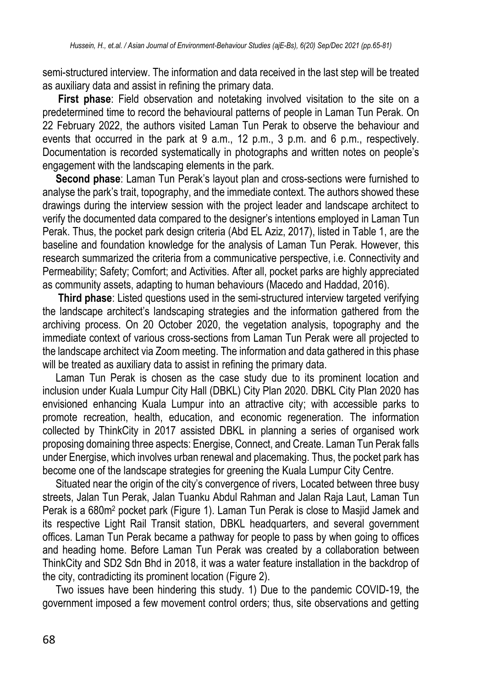semi-structured interview. The information and data received in the last step will be treated as auxiliary data and assist in refining the primary data.

**First phase**: Field observation and notetaking involved visitation to the site on a predetermined time to record the behavioural patterns of people in Laman Tun Perak. On 22 February 2022, the authors visited Laman Tun Perak to observe the behaviour and events that occurred in the park at 9 a.m., 12 p.m., 3 p.m. and 6 p.m., respectively. Documentation is recorded systematically in photographs and written notes on people's engagement with the landscaping elements in the park.

 **Second phase**: Laman Tun Perak's layout plan and cross-sections were furnished to analyse the park's trait, topography, and the immediate context. The authors showed these drawings during the interview session with the project leader and landscape architect to verify the documented data compared to the designer's intentions employed in Laman Tun Perak. Thus, the pocket park design criteria (Abd EL Aziz, 2017), listed in Table 1, are the baseline and foundation knowledge for the analysis of Laman Tun Perak. However, this research summarized the criteria from a communicative perspective, i.e. Connectivity and Permeability; Safety; Comfort; and Activities. After all, pocket parks are highly appreciated as community assets, adapting to human behaviours (Macedo and Haddad, 2016).

**Third phase**: Listed questions used in the semi-structured interview targeted verifying the landscape architect's landscaping strategies and the information gathered from the archiving process. On 20 October 2020, the vegetation analysis, topography and the immediate context of various cross-sections from Laman Tun Perak were all projected to the landscape architect via Zoom meeting. The information and data gathered in this phase will be treated as auxiliary data to assist in refining the primary data.

 Laman Tun Perak is chosen as the case study due to its prominent location and inclusion under Kuala Lumpur City Hall (DBKL) City Plan 2020. DBKL City Plan 2020 has envisioned enhancing Kuala Lumpur into an attractive city; with accessible parks to promote recreation, health, education, and economic regeneration. The information collected by ThinkCity in 2017 assisted DBKL in planning a series of organised work proposing domaining three aspects: Energise, Connect, and Create. Laman Tun Perak falls under Energise, which involves urban renewal and placemaking. Thus, the pocket park has become one of the landscape strategies for greening the Kuala Lumpur City Centre.

 Situated near the origin of the city's convergence of rivers, Located between three busy streets, Jalan Tun Perak, Jalan Tuanku Abdul Rahman and Jalan Raja Laut, Laman Tun Perak is a 680m<sup>2</sup> pocket park (Figure 1). Laman Tun Perak is close to Masjid Jamek and its respective Light Rail Transit station, DBKL headquarters, and several government offices. Laman Tun Perak became a pathway for people to pass by when going to offices and heading home. Before Laman Tun Perak was created by a collaboration between ThinkCity and SD2 Sdn Bhd in 2018, it was a water feature installation in the backdrop of the city, contradicting its prominent location (Figure 2).

 Two issues have been hindering this study. 1) Due to the pandemic COVID-19, the government imposed a few movement control orders; thus, site observations and getting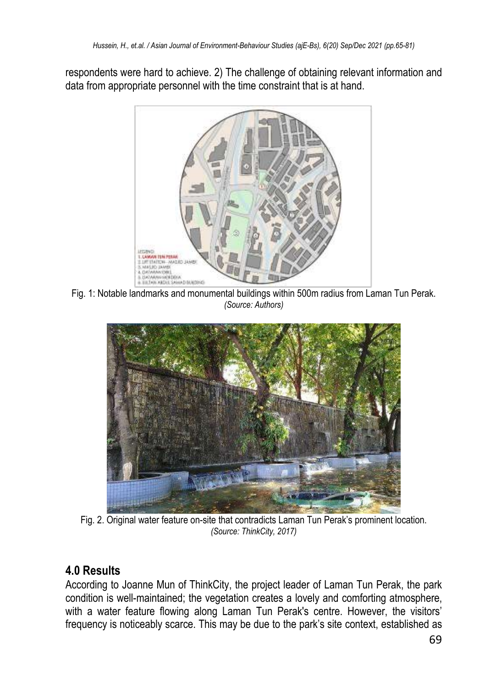respondents were hard to achieve. 2) The challenge of obtaining relevant information and data from appropriate personnel with the time constraint that is at hand.



Fig. 1: Notable landmarks and monumental buildings within 500m radius from Laman Tun Perak. *(Source: Authors)*



Fig. 2. Original water feature on-site that contradicts Laman Tun Perak's prominent location. *(Source: ThinkCity, 2017)* 

# **4.0 Results**

According to Joanne Mun of ThinkCity, the project leader of Laman Tun Perak, the park condition is well-maintained; the vegetation creates a lovely and comforting atmosphere, with a water feature flowing along Laman Tun Perak's centre. However, the visitors' frequency is noticeably scarce. This may be due to the park's site context, established as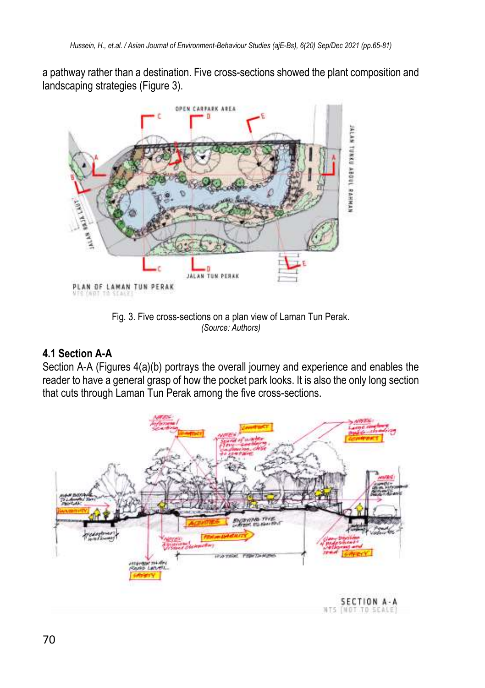a pathway rather than a destination. Five cross-sections showed the plant composition and landscaping strategies (Figure 3).



Fig. 3. Five cross-sections on a plan view of Laman Tun Perak. *(Source: Authors)* 

## **4.1 Section A-A**

Section A-A (Figures 4(a)(b) portrays the overall journey and experience and enables the reader to have a general grasp of how the pocket park looks. It is also the only long section that cuts through Laman Tun Perak among the five cross-sections.

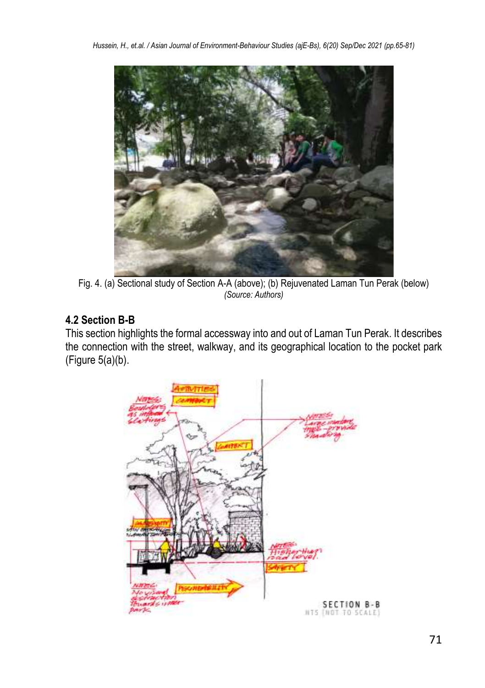

Fig. 4. (a) Sectional study of Section A-A (above); (b) Rejuvenated Laman Tun Perak (below) *(Source: Authors)* 

# **4.2 Section B-B**

This section highlights the formal accessway into and out of Laman Tun Perak. It describes the connection with the street, walkway, and its geographical location to the pocket park (Figure 5(a)(b).

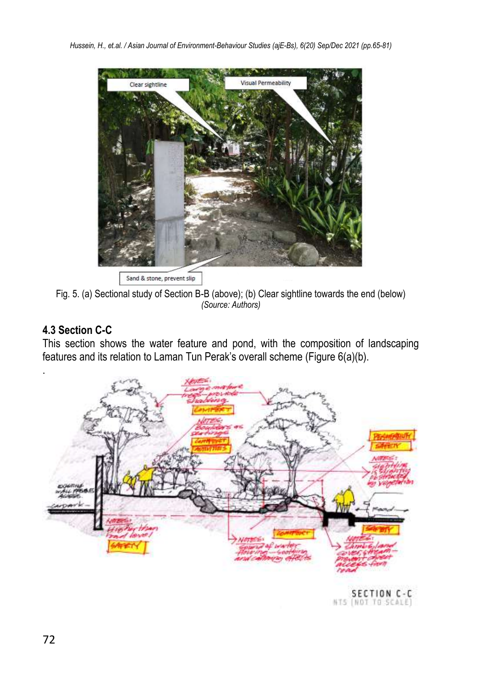

Sand & stone, prevent slip

Fig. 5. (a) Sectional study of Section B-B (above); (b) Clear sightline towards the end (below) *(Source: Authors)* 

## **4.3 Section C-C**

This section shows the water feature and pond, with the composition of landscaping features and its relation to Laman Tun Perak's overall scheme (Figure 6(a)(b).



SECTION C-C<br>NTS (NOT TO SCALE)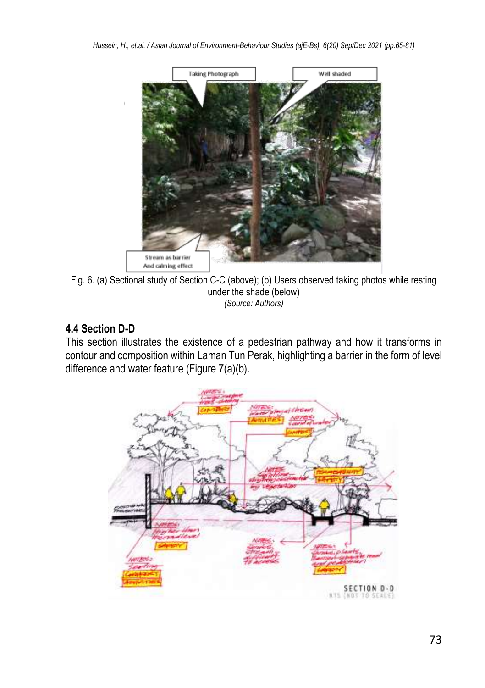

Fig. 6. (a) Sectional study of Section C-C (above); (b) Users observed taking photos while resting under the shade (below) *(Source: Authors)* 

#### **4.4 Section D-D**

This section illustrates the existence of a pedestrian pathway and how it transforms in contour and composition within Laman Tun Perak, highlighting a barrier in the form of level difference and water feature (Figure 7(a)(b).

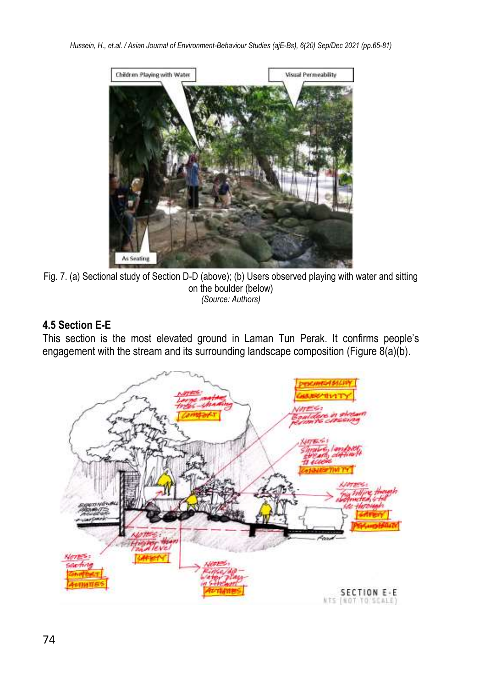

Fig. 7. (a) Sectional study of Section D-D (above); (b) Users observed playing with water and sitting on the boulder (below) *(Source: Authors)* 

## **4.5 Section E-E**

This section is the most elevated ground in Laman Tun Perak. It confirms people's engagement with the stream and its surrounding landscape composition (Figure 8(a)(b).

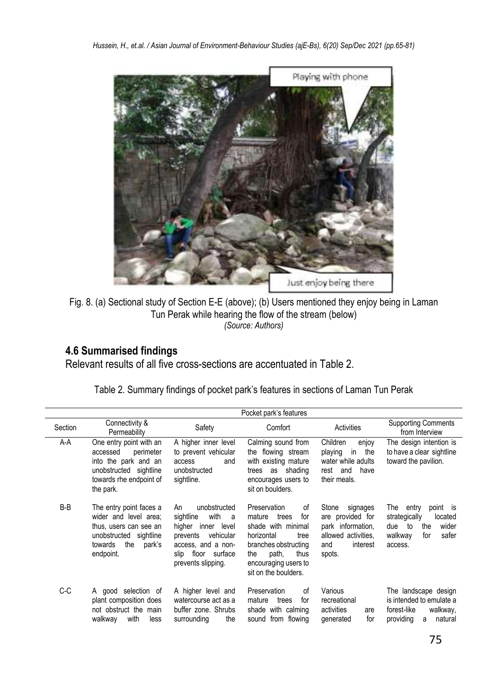

Fig. 8. (a) Sectional study of Section E-E (above); (b) Users mentioned they enjoy being in Laman Tun Perak while hearing the flow of the stream (below) *(Source: Authors)* 

# **4.6 Summarised findings**

Relevant results of all five cross-sections are accentuated in Table 2.

|         |                                                                                                                                               |                                                                                                                                                                  | Pocket park's features                                                                                                                                                                   |                                                                                                                |                                                                                                                      |
|---------|-----------------------------------------------------------------------------------------------------------------------------------------------|------------------------------------------------------------------------------------------------------------------------------------------------------------------|------------------------------------------------------------------------------------------------------------------------------------------------------------------------------------------|----------------------------------------------------------------------------------------------------------------|----------------------------------------------------------------------------------------------------------------------|
| Section | Connectivity &<br>Permeability                                                                                                                | Safety                                                                                                                                                           | Comfort                                                                                                                                                                                  | Activities                                                                                                     | <b>Supporting Comments</b><br>from Interview                                                                         |
| A-A     | One entry point with an<br>perimeter<br>accessed<br>into the park and an<br>unobstructed sightline<br>towards rhe endpoint of<br>the park.    | A higher inner level<br>to prevent vehicular<br>access<br>and<br>unobstructed<br>sightline.                                                                      | Calming sound from<br>the flowing stream<br>with existing mature<br>shading<br>as<br>trees<br>encourages users to<br>sit on boulders.                                                    | Children<br>enjoy<br>in<br>playing<br>the<br>water while adults<br>and<br>have<br>rest<br>their meals.         | The design intention is<br>to have a clear sightline<br>toward the pavilion.                                         |
| B-B     | The entry point faces a<br>wider and level area;<br>thus, users can see an<br>unobstructed sightline<br>the<br>towards<br>park's<br>endpoint. | unobstructed<br>An<br>sightline<br>with<br>a<br>hiaher<br>inner level<br>vehicular<br>prevents<br>access, and a non-<br>slip floor surface<br>prevents slipping. | Preservation<br>of<br>for<br>mature<br>trees<br>shade with minimal<br>horizontal<br>tree<br>branches obstructing<br>path,<br>thus<br>the<br>encouraging users to<br>sit on the boulders. | Stone<br>signages<br>are provided for<br>park information,<br>allowed activities,<br>interest<br>and<br>spots. | The entry<br>point is<br>strategically<br>located<br>wider<br>to<br>the<br>due<br>walkway<br>for<br>safer<br>access. |
| C-C     | A good selection of<br>plant composition does<br>not obstruct the main<br>with<br>walkway<br>less                                             | A higher level and<br>watercourse act as a<br>buffer zone. Shrubs<br>surrounding<br>the                                                                          | Preservation<br>of<br>for<br>mature<br>trees<br>shade with calming<br>sound from flowing                                                                                                 | Various<br>recreational<br>activities<br>are<br>for<br>generated                                               | The landscape design<br>is intended to emulate a<br>forest-like<br>walkway,<br>natural<br>providing<br>a             |

Table 2. Summary findings of pocket park's features in sections of Laman Tun Perak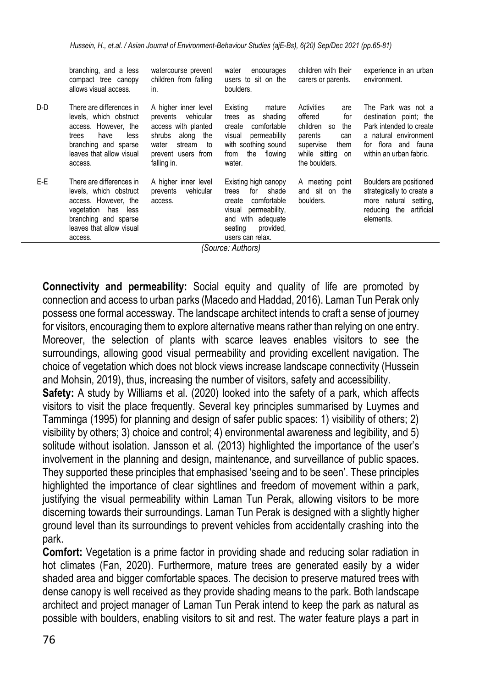|     | branching, and a less<br>compact tree canopy<br>allows visual access.                                                                                                  | watercourse prevent<br>children from falling<br>in.                                                                                                       | water<br>encourages<br>users to sit on the<br>boulders.                                                                                                               | children with their<br>carers or parents.                                                                                                       | experience in an urban<br>environment.                                                                                                                |
|-----|------------------------------------------------------------------------------------------------------------------------------------------------------------------------|-----------------------------------------------------------------------------------------------------------------------------------------------------------|-----------------------------------------------------------------------------------------------------------------------------------------------------------------------|-------------------------------------------------------------------------------------------------------------------------------------------------|-------------------------------------------------------------------------------------------------------------------------------------------------------|
| D-D | There are differences in<br>levels, which obstruct<br>access. However, the<br>have<br>less<br>trees<br>branching and sparse<br>leaves that allow visual<br>access.     | A higher inner level<br>prevents vehicular<br>access with planted<br>shrubs<br>along<br>the<br>water<br>stream<br>to<br>prevent users from<br>falling in. | Existina<br>mature<br>shading<br>trees<br>as<br>comfortable<br>create<br>permeability<br>visual<br>with soothing sound<br>the<br>flowing<br>from<br>water.            | Activities<br>are<br>offered<br>for<br>children<br>the<br><b>SO</b><br>parents<br>can<br>supervise<br>them<br>while sitting on<br>the boulders. | The Park was not a<br>destination point; the<br>Park intended to create<br>a natural environment<br>flora and fauna<br>for<br>within an urban fabric. |
| E-E | There are differences in<br>levels, which obstruct<br>access. However, the<br>vegetation<br>has<br>less<br>branching and sparse<br>leaves that allow visual<br>access. | A higher inner level<br>vehicular<br>prevents<br>access.                                                                                                  | Existing high canopy<br>shade<br>for<br>trees<br>comfortable<br>create<br>permeability,<br>visual<br>with adequate<br>and<br>provided,<br>seating<br>users can relax. | A meeting point<br>and sit on the<br>boulders.                                                                                                  | Boulders are positioned<br>strategically to create a<br>more natural setting,<br>reducing the<br>artificial<br>elements.                              |

*(Source: Authors)*

**Connectivity and permeability:** Social equity and quality of life are promoted by connection and access to urban parks (Macedo and Haddad, 2016). Laman Tun Perak only possess one formal accessway. The landscape architect intends to craft a sense of journey for visitors, encouraging them to explore alternative means rather than relying on one entry. Moreover, the selection of plants with scarce leaves enables visitors to see the surroundings, allowing good visual permeability and providing excellent navigation. The choice of vegetation which does not block views increase landscape connectivity (Hussein and Mohsin, 2019), thus, increasing the number of visitors, safety and accessibility.

**Safety:** A study by Williams et al. (2020) looked into the safety of a park, which affects visitors to visit the place frequently. Several key principles summarised by Luymes and Tamminga (1995) for planning and design of safer public spaces: 1) visibility of others; 2) visibility by others; 3) choice and control; 4) environmental awareness and legibility, and 5) solitude without isolation. Jansson et al. (2013) highlighted the importance of the user's involvement in the planning and design, maintenance, and surveillance of public spaces. They supported these principles that emphasised 'seeing and to be seen'. These principles highlighted the importance of clear sightlines and freedom of movement within a park, justifying the visual permeability within Laman Tun Perak, allowing visitors to be more discerning towards their surroundings. Laman Tun Perak is designed with a slightly higher ground level than its surroundings to prevent vehicles from accidentally crashing into the park.

**Comfort:** Vegetation is a prime factor in providing shade and reducing solar radiation in hot climates (Fan, 2020). Furthermore, mature trees are generated easily by a wider shaded area and bigger comfortable spaces. The decision to preserve matured trees with dense canopy is well received as they provide shading means to the park. Both landscape architect and project manager of Laman Tun Perak intend to keep the park as natural as possible with boulders, enabling visitors to sit and rest. The water feature plays a part in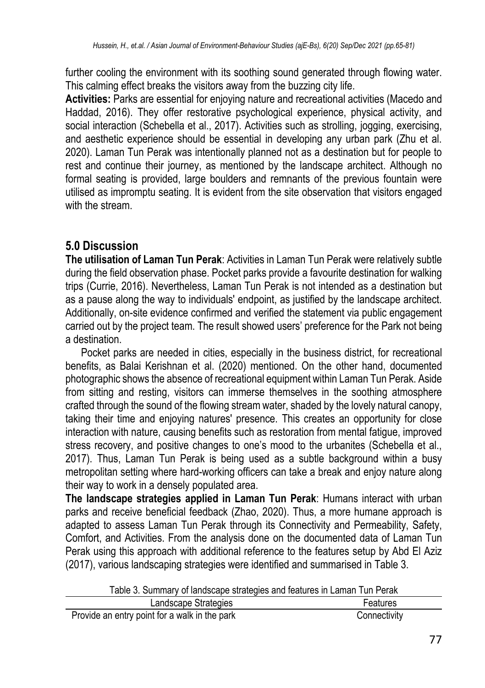further cooling the environment with its soothing sound generated through flowing water. This calming effect breaks the visitors away from the buzzing city life.

**Activities:** Parks are essential for enjoying nature and recreational activities (Macedo and Haddad, 2016). They offer restorative psychological experience, physical activity, and social interaction (Schebella et al., 2017). Activities such as strolling, jogging, exercising, and aesthetic experience should be essential in developing any urban park (Zhu et al. 2020). Laman Tun Perak was intentionally planned not as a destination but for people to rest and continue their journey, as mentioned by the landscape architect. Although no formal seating is provided, large boulders and remnants of the previous fountain were utilised as impromptu seating. It is evident from the site observation that visitors engaged with the stream.

## **5.0 Discussion**

**The utilisation of Laman Tun Perak**: Activities in Laman Tun Perak were relatively subtle during the field observation phase. Pocket parks provide a favourite destination for walking trips (Currie, 2016). Nevertheless, Laman Tun Perak is not intended as a destination but as a pause along the way to individuals' endpoint, as justified by the landscape architect. Additionally, on-site evidence confirmed and verified the statement via public engagement carried out by the project team. The result showed users' preference for the Park not being a destination.

Pocket parks are needed in cities, especially in the business district, for recreational benefits, as Balai Kerishnan et al. (2020) mentioned. On the other hand, documented photographic shows the absence of recreational equipment within Laman Tun Perak. Aside from sitting and resting, visitors can immerse themselves in the soothing atmosphere crafted through the sound of the flowing stream water, shaded by the lovely natural canopy, taking their time and enjoying natures' presence. This creates an opportunity for close interaction with nature, causing benefits such as restoration from mental fatigue, improved stress recovery, and positive changes to one's mood to the urbanites (Schebella et al., 2017). Thus, Laman Tun Perak is being used as a subtle background within a busy metropolitan setting where hard-working officers can take a break and enjoy nature along their way to work in a densely populated area.

**The landscape strategies applied in Laman Tun Perak**: Humans interact with urban parks and receive beneficial feedback (Zhao, 2020). Thus, a more humane approach is adapted to assess Laman Tun Perak through its Connectivity and Permeability, Safety, Comfort, and Activities. From the analysis done on the documented data of Laman Tun Perak using this approach with additional reference to the features setup by Abd El Aziz (2017), various landscaping strategies were identified and summarised in Table 3.

Table 3. Summary of landscape strategies and features in Laman Tun Perak

| Landscape Strategies                          | Features     |
|-----------------------------------------------|--------------|
| Provide an entry point for a walk in the park | Connectivity |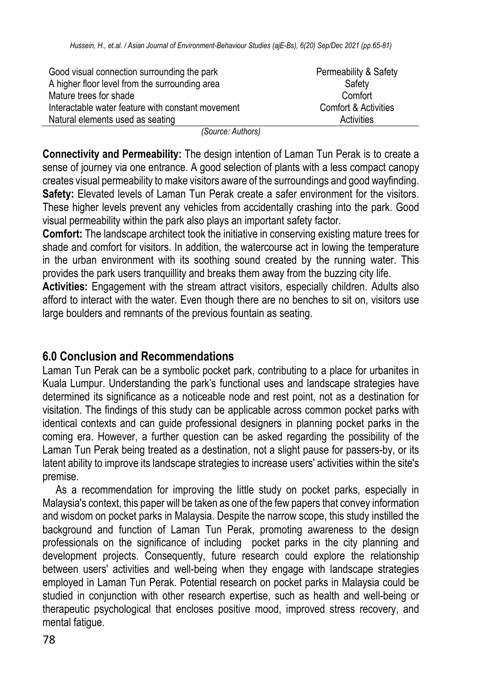| Good visual connection surrounding the park       | Permeability & Safety           |
|---------------------------------------------------|---------------------------------|
| A higher floor level from the surrounding area    | Safety                          |
| Mature trees for shade                            | Comfort                         |
| Interactable water feature with constant movement | <b>Comfort &amp; Activities</b> |
| Natural elements used as seating                  | Activities                      |

*(Source: Authors)* 

**Connectivity and Permeability:** The design intention of Laman Tun Perak is to create a sense of journey via one entrance. A good selection of plants with a less compact canopy creates visual permeability to make visitors aware of the surroundings and good wayfinding. Safety: Elevated levels of Laman Tun Perak create a safer environment for the visitors. These higher levels prevent any vehicles from accidentally crashing into the park. Good visual permeability within the park also plays an important safety factor.

**Comfort:** The landscape architect took the initiative in conserving existing mature trees for shade and comfort for visitors. In addition, the watercourse act in lowing the temperature in the urban environment with its soothing sound created by the running water. This provides the park users tranquillity and breaks them away from the buzzing city life.

**Activities:** Engagement with the stream attract visitors, especially children. Adults also afford to interact with the water. Even though there are no benches to sit on, visitors use large boulders and remnants of the previous fountain as seating.

## **6.0 Conclusion and Recommendations**

Laman Tun Perak can be a symbolic pocket park, contributing to a place for urbanites in Kuala Lumpur. Understanding the park's functional uses and landscape strategies have determined its significance as a noticeable node and rest point, not as a destination for visitation. The findings of this study can be applicable across common pocket parks with identical contexts and can guide professional designers in planning pocket parks in the coming era. However, a further question can be asked regarding the possibility of the Laman Tun Perak being treated as a destination, not a slight pause for passers-by, or its latent ability to improve its landscape strategies to increase users' activities within the site's premise.

 As a recommendation for improving the little study on pocket parks, especially in Malaysia's context, this paper will be taken as one of the few papers that convey information and wisdom on pocket parks in Malaysia. Despite the narrow scope, this study instilled the background and function of Laman Tun Perak, promoting awareness to the design professionals on the significance of including pocket parks in the city planning and development projects. Consequently, future research could explore the relationship between users' activities and well-being when they engage with landscape strategies employed in Laman Tun Perak. Potential research on pocket parks in Malaysia could be studied in conjunction with other research expertise, such as health and well-being or therapeutic psychological that encloses positive mood, improved stress recovery, and mental fatigue.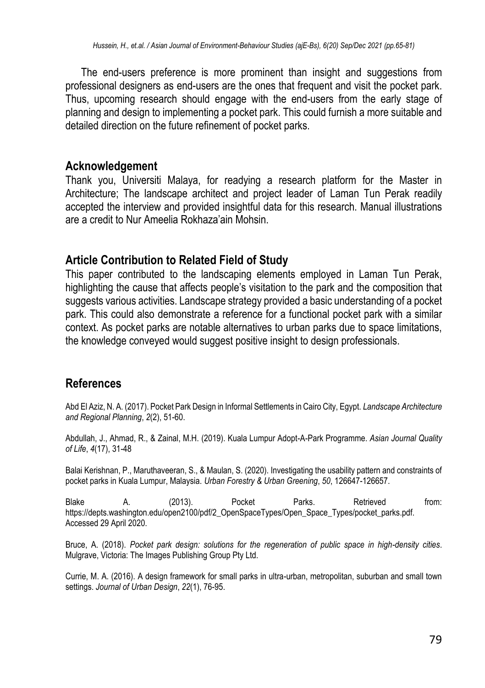The end-users preference is more prominent than insight and suggestions from professional designers as end-users are the ones that frequent and visit the pocket park. Thus, upcoming research should engage with the end-users from the early stage of planning and design to implementing a pocket park. This could furnish a more suitable and detailed direction on the future refinement of pocket parks.

#### **Acknowledgement**

Thank you, Universiti Malaya, for readying a research platform for the Master in Architecture; The landscape architect and project leader of Laman Tun Perak readily accepted the interview and provided insightful data for this research. Manual illustrations are a credit to Nur Ameelia Rokhaza'ain Mohsin.

### **Article Contribution to Related Field of Study**

This paper contributed to the landscaping elements employed in Laman Tun Perak, highlighting the cause that affects people's visitation to the park and the composition that suggests various activities. Landscape strategy provided a basic understanding of a pocket park. This could also demonstrate a reference for a functional pocket park with a similar context. As pocket parks are notable alternatives to urban parks due to space limitations, the knowledge conveved would suggest positive insight to design professionals.

## **References**

Abd El Aziz, N. A. (2017). Pocket Park Design in Informal Settlements in Cairo City, Egypt. *Landscape Architecture and Regional Planning*, *2*(2), 51-60.

Abdullah, J., Ahmad, R., & Zainal, M.H. (2019). Kuala Lumpur Adopt-A-Park Programme. *Asian Journal Quality of Life*, *4*(17), 31-48

Balai Kerishnan, P., Maruthaveeran, S., & Maulan, S. (2020). Investigating the usability pattern and constraints of pocket parks in Kuala Lumpur, Malaysia. *Urban Forestry & Urban Greening*, *50*, 126647-126657.

Blake A. (2013). Pocket Parks. Retrieved from: https://depts.washington.edu/open2100/pdf/2\_OpenSpaceTypes/Open\_Space\_Types/pocket\_parks.pdf. Accessed 29 April 2020.

Bruce, A. (2018). *Pocket park design: solutions for the regeneration of public space in high-density cities*. Mulgrave, Victoria: The Images Publishing Group Pty Ltd.

Currie, M. A. (2016). A design framework for small parks in ultra-urban, metropolitan, suburban and small town settings. *Journal of Urban Design*, *22*(1), 76-95.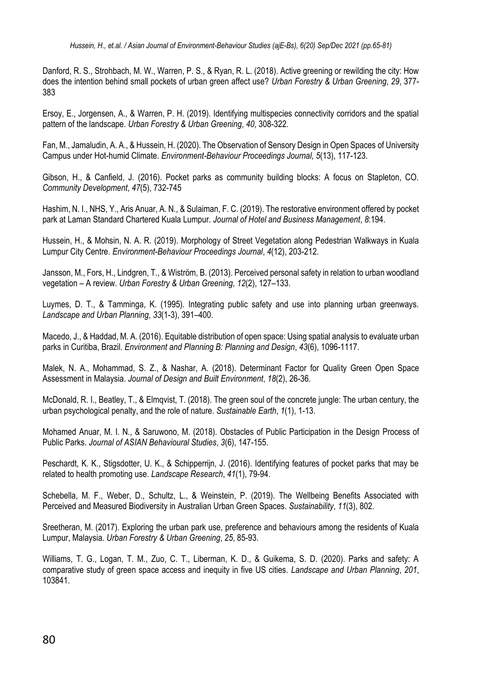Danford, R. S., Strohbach, M. W., Warren, P. S., & Ryan, R. L. (2018). Active greening or rewilding the city: How does the intention behind small pockets of urban green affect use? *Urban Forestry & Urban Greening*, *29*, 377- 383

Ersoy, E., Jorgensen, A., & Warren, P. H. (2019). Identifying multispecies connectivity corridors and the spatial pattern of the landscape. *Urban Forestry & Urban Greening*, *40*, 308-322.

Fan, M., Jamaludin, A. A., & Hussein, H. (2020). The Observation of Sensory Design in Open Spaces of University Campus under Hot-humid Climate. *Environment-Behaviour Proceedings Journal, 5*(13), 117-123.

Gibson, H., & Canfield, J. (2016). Pocket parks as community building blocks: A focus on Stapleton, CO. *Community Development*, *47*(5), 732-745

Hashim, N. I., NHS, Y., Aris Anuar, A. N., & Sulaiman, F. C. (2019). The restorative environment offered by pocket park at Laman Standard Chartered Kuala Lumpur. *Journal of Hotel and Business Management*, *8*:194.

Hussein, H., & Mohsin, N. A. R. (2019). Morphology of Street Vegetation along Pedestrian Walkways in Kuala Lumpur City Centre. *Environment-Behaviour Proceedings Journal*, *4*(12), 203-212.

Jansson, M., Fors, H., Lindgren, T., & Wiström, B. (2013). Perceived personal safety in relation to urban woodland vegetation – A review. *Urban Forestry & Urban Greening, 12*(2), 127–133.

Luymes, D. T., & Tamminga, K. (1995). Integrating public safety and use into planning urban greenways. *Landscape and Urban Planning*, *33*(1-3), 391–400.

Macedo, J., & Haddad, M. A. (2016). Equitable distribution of open space: Using spatial analysis to evaluate urban parks in Curitiba, Brazil. *Environment and Planning B: Planning and Design*, *43*(6), 1096-1117.

Malek, N. A., Mohammad, S. Z., & Nashar, A. (2018). Determinant Factor for Quality Green Open Space Assessment in Malaysia. *Journal of Design and Built Environment*, *18*(2), 26-36.

McDonald, R. I., Beatley, T., & Elmqvist, T. (2018). The green soul of the concrete jungle: The urban century, the urban psychological penalty, and the role of nature. *Sustainable Earth*, *1*(1), 1-13.

Mohamed Anuar, M. I. N., & Saruwono, M. (2018). Obstacles of Public Participation in the Design Process of Public Parks. *Journal of ASIAN Behavioural Studies*, *3*(6), 147-155.

Peschardt, K. K., Stigsdotter, U. K., & Schipperrijn, J. (2016). Identifying features of pocket parks that may be related to health promoting use. *Landscape Research*, *41*(1), 79-94.

Schebella, M. F., Weber, D., Schultz, L., & Weinstein, P. (2019). The Wellbeing Benefits Associated with Perceived and Measured Biodiversity in Australian Urban Green Spaces. *Sustainability*, *11*(3), 802.

Sreetheran, M. (2017). Exploring the urban park use, preference and behaviours among the residents of Kuala Lumpur, Malaysia. *Urban Forestry & Urban Greening*, *25*, 85-93.

Williams, T. G., Logan, T. M., Zuo, C. T., Liberman, K. D., & Guikema, S. D. (2020). Parks and safety: A comparative study of green space access and inequity in five US cities. *Landscape and Urban Planning*, *201*, 103841.